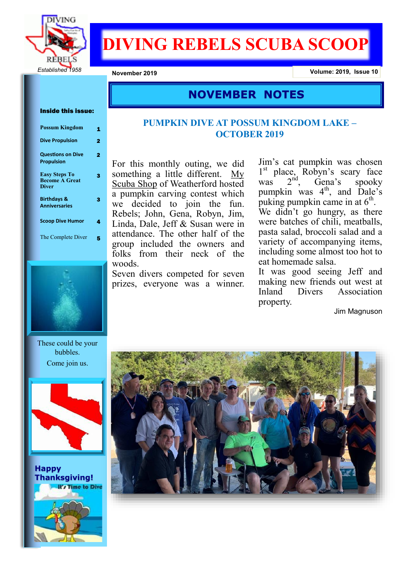

# **DIVING REBELS SCUBA SCOOP**

**November 2019 Volume: 2019, Issue 10**

## **NOVEMBER NOTES**

#### Inside this issue:

| <b>Possum Kingdom</b>                                         |   |
|---------------------------------------------------------------|---|
| <b>Dive Propulsion</b>                                        | 2 |
| <b>Questions on Dive</b><br><b>Propulsion</b>                 |   |
| <b>Easy Steps To</b><br><b>Become A Great</b><br><b>Diver</b> |   |
| <b>Birthdays &amp;</b><br><b>Anniversaries</b>                |   |
| <b>Scoop Dive Humor</b>                                       |   |
| The Complete Diver                                            |   |



These could be your bubbles. Come join us.



**Happy Thanksgiving!** It's Time to Dive

## **PUMPKIN DIVE AT POSSUM KINGDOM LAKE – OCTOBER 2019**

For this monthly outing, we did something a little different. My Scuba Shop of Weatherford hosted a pumpkin carving contest which we decided to join the fun. Rebels; John, Gena, Robyn, Jim, Linda, Dale, Jeff & Susan were in attendance. The other half of the group included the owners and folks from their neck of the woods.

Seven divers competed for seven prizes, everyone was a winner.

Jim's cat pumpkin was chosen 1<sup>st</sup> place, Robyn's scary face was  $2^{nd}$ , Gena's spooky pumpkin was  $4<sup>th</sup>$ , and Dale's puking pumpkin came in at  $6<sup>th</sup>$ . We didn't go hungry, as there were batches of chili, meatballs,

pasta salad, broccoli salad and a variety of accompanying items, including some almost too hot to eat homemade salsa.

It was good seeing Jeff and making new friends out west at Inland Divers Association property.

Jim Magnuson

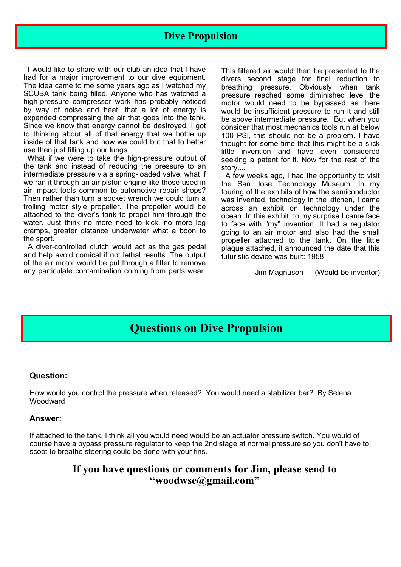## **Dive Propulsion**

 I would like to share with our club an idea that I have had for a major improvement to our dive equipment. The idea came to me some years ago as I watched my SCUBA tank being filled. Anyone who has watched a high-pressure compressor work has probably noticed by way of noise and heat, that a lot of energy is expended compressing the air that goes into the tank. Since we know that energy cannot be destroyed, I got to thinking about all of that energy that we bottle up inside of that tank and how we could but that to better use then just filling up our lungs.

 What if we were to take the high-pressure output of the tank and instead of reducing the pressure to an intermediate pressure via a spring-loaded valve, what if we ran it through an air piston engine like those used in air impact tools common to automotive repair shops? Then rather than turn a socket wrench we could turn a trolling motor style propeller. The propeller would be attached to the diver's tank to propel him through the water. Just think no more need to kick, no more leg cramps, greater distance underwater what a boon to the sport.

 A diver-controlled clutch would act as the gas pedal and help avoid comical if not lethal results. The output of the air motor would be put through a filter to remove any particulate contamination coming from parts wear.

This filtered air would then be presented to the divers second stage for final reduction to breathing pressure. Obviously when tank pressure reached some diminished level the motor would need to be bypassed as there would be insufficient pressure to run it and still be above intermediate pressure. But when you consider that most mechanics tools run at below 100 PSI, this should not be a problem. I have thought for some time that this might be a slick little invention and have even considered seeking a patent for it. Now for the rest of the story....

 A few weeks ago, I had the opportunity to visit the San Jose Technology Museum. In my touring of the exhibits of how the semiconductor was invented, technology in the kitchen, I came across an exhibit on technology under the ocean. In this exhibit, to my surprise I came face to face with "my" invention. It had a regulator going to an air motor and also had the small propeller attached to the tank. On the little plaque attached, it announced the date that this futuristic device was built: 1958

Jim Magnuson — (Would-be inventor)

## **Questions on Dive Propulsion**

## **Question:**

How would you control the pressure when released? You would need a stabilizer bar? By Selena **Woodward** 

### **Answer:**

If attached to the tank, I think all you would need would be an actuator pressure switch. You would of course have a bypass pressure regulator to keep the 2nd stage at normal pressure so you don't have to scoot to breathe steering could be done with your fins.

## **If you have questions or comments for Jim, please send to "woodwse@gmail.com"**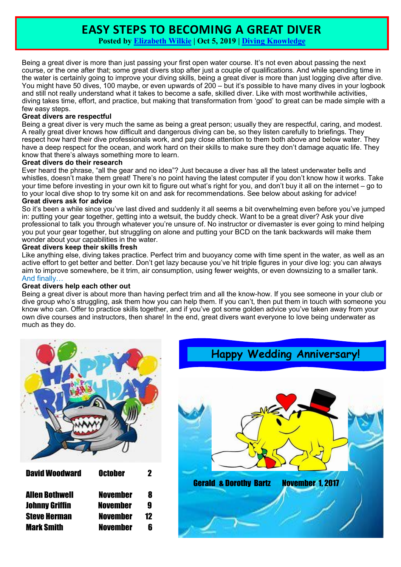## **EASY STEPS TO BECOMING A GREAT DIVER**

**Posted by [Elizabeth Wilkie](https://www.scubadivingtheory.com/author/ewilkie/) | Oct 5, 2019 | [Diving Knowledge](https://www.scubadivingtheory.com/divingknowledge/)**

Being a great diver is more than just passing your first open water course. It's not even about passing the next course, or the one after that; some great divers stop after just a couple of qualifications. And while spending time in the water is certainly going to improve your diving skills, being a great diver is more than just logging dive after dive. You might have 50 dives, 100 maybe, or even upwards of 200 – but it's possible to have many dives in your logbook and still not really understand what it takes to become a safe, skilled diver. Like with most worthwhile activities, diving takes time, effort, and practice, but making that transformation from 'good' to great can be made simple with a few easy steps.

### **Great divers are respectful**

Being a great diver is very much the same as being a great person; usually they are respectful, caring, and modest. A really great diver knows how difficult and dangerous diving can be, so they listen carefully to briefings. They respect how hard their dive professionals work, and pay close attention to them both above and below water. They have a deep respect for the ocean, and work hard on their skills to make sure they don't damage aquatic life. They know that there's always something more to learn.

### **Great divers do their research**

Ever heard the phrase, "all the gear and no idea"? Just because a diver has all the latest underwater bells and whistles, doesn't make them great! There's no point having the latest computer if you don't know how it works. Take your time before investing in your own kit to figure out what's right for you, and don't buy it all on the internet – go to to your local dive shop to try some kit on and ask for recommendations. See below about asking for advice! **Great divers ask for advice**

So it's been a while since you've last dived and suddenly it all seems a bit overwhelming even before you've jumped in: putting your gear together, getting into a wetsuit, the buddy check. Want to be a great diver? Ask your dive professional to talk you through whatever you're unsure of. No instructor or divemaster is ever going to mind helping you put your gear together, but struggling on alone and putting your BCD on the tank backwards will make them wonder about your capabilities in the water.

### **Great divers keep their skills fresh**

Like anything else, diving takes practice. Perfect trim and buoyancy come with time spent in the water, as well as an active effort to get better and better. Don't get lazy because you've hit triple figures in your dive log: you can always aim to improve somewhere, be it trim, air consumption, using fewer weights, or even downsizing to a smaller tank. And finally…

## **Great divers help each other out**

Being a great diver is about more than having perfect trim and all the know-how. If you see someone in your club or dive group who's struggling, ask them how you can help them. If you can't, then put them in touch with someone you know who can. Offer to practice skills together, and if you've got some golden advice you've taken away from your own dive courses and instructors, then share! In the end, great divers want everyone to love being underwater as much as they do.



| <b>David Woodward</b><br><b>October</b>                                                                                                                                |                   |
|------------------------------------------------------------------------------------------------------------------------------------------------------------------------|-------------------|
| <b>Allen Bothwell</b><br><b>November</b><br><b>Johnny Griffin</b><br><b>November</b><br><b>Steve Herman</b><br><b>November</b><br><b>Mark Smith</b><br><b>November</b> | 8<br>g<br>17<br>R |

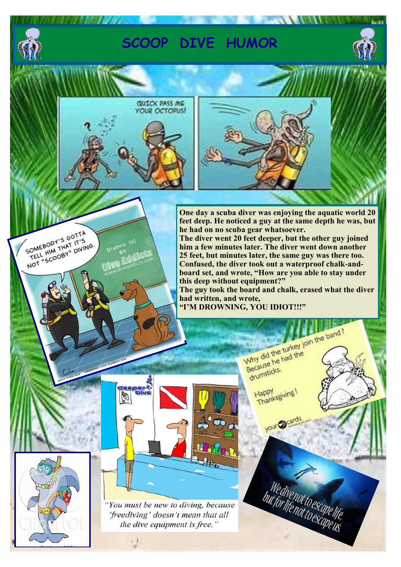

SOMEBODY'S GOTTA SOMEBODY'S GOTTA<br>SOMEBODY'S AT IT'S SOMEBODY'S GOT I'S

# **SCOOP DIVE HUMOR**



**WAXED AVENUE CA.** 





**One day a scuba diver was enjoying the aquatic world 20 feet deep. He noticed a guy at the same depth he was, but he had on no scuba gear whatsoever.** 

**The diver went 20 feet deeper, but the other guy joined him a few minutes later. The diver went down another 25 feet, but minutes later, the same guy was there too. Confused, the diver took out a waterproof chalk-andboard set, and wrote, "How are you able to stay under this deep without equipment?"**

**The guy took the board and chalk, erased what the diver had written, and wrote, "I'M DROWNING, YOU IDIOT!!!"**

"You must be new to diving, because 'freediving' doesn't mean that all the dive equipment is free."

Why did the turkey join the band? Why did the turkey<br>Because he had the Because<br>drumsticks. Happy<br>Thanksgiving! Happy

your grands

We divenot to escape life